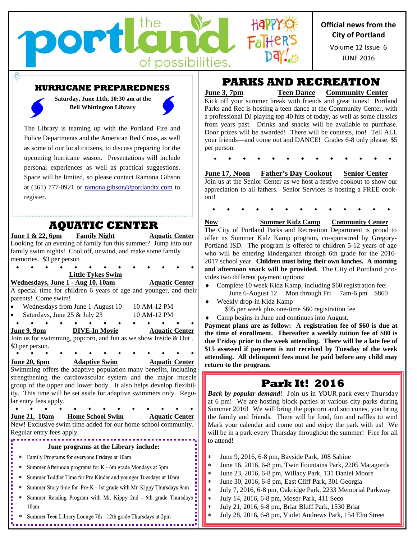

JUNE 2016 Volume 12 Issue 6

#### **HURRICANE PREPAREDNESS**

portl

the

of possibilities.

**Saturday, June 11th, 10:30 am at the Bell Whittington Library** 

The Library is teaming up with the Portland Fire and Police Departments and the American Red Cross, as well as some of our local citizens, to discuss preparing for the upcoming hurricane season. Presentations will include personal experiences as well as practical suggestions. Space will be limited, so please contact Ramona Gibson at (361) 777-0921 or ramona.gibson@portlandtx.com to register.

### **AQUATIC CENTER**

**June 1 & 22, 6pm Family Night Aquatic Center** Looking for an evening of family fun this summer? Jump into our family swim nights! Cool off, unwind, and make some family memories. \$3 per person **Little Tykes Swim**  Wednesdays, June 1 - Aug 10, 10am **Aquatic Center** A special time for children 6 years of age and younger, and their parents! Come swim! • Wednesdays from June 1-August 10 10 AM-12 PM Saturdays, June 25 & July 23 10 AM-12 PM  $\bullet$   $\bullet$   $\bullet$  $\bullet$  $\bullet$ **June 9, 9pm DIVE-In Movie Aquatic Center**  Join us for swimming, popcorn, and fun as we show Inside  $\&$  Out. \$3 per person. **June 20, 6pm Adaptive Swim Aquatic Center**  Swimming offers the adaptive population many benefits, including strengthening the cardiovascular system and the major muscle group of the upper and lower body. It also helps develop flexibility. This time will be set aside for adaptive swimmers only. Regular entry fees apply.  $\bullet$  $\rightarrow$ **June 21, 10am Home School Swim Aquatic Center**  New! Exclusive swim time added for our home school community. Regular entry fees apply. **June programs at the Library include:**   $\ast$ Family Programs for everyone Fridays at 10am  $\ast$ Summer Afternoon programs for K - 6th grade Mondays at 3pm \* Summer Toddler Time for Pre Kinder and younger Tuesdays at 10am Summer Story time for Pre-K - 1st grade with Mr. Kippy Thursdays 9am  $\ast$ Summer Reading Program with Mr. Kippy 2nd - 6th grade Thursdays  $\ast$ 10am \* Summer Teen Library Lounge 7th - 12th grade Thursdays at 2pm

## **PARKS AND RECREATION**

**June 3, 7pm Teen Dance Community Center** 

Kick off your summer break with friends and great tunes! Portland Parks and Rec is hosting a teen dance at the Community Center, with a professional DJ playing top 40 hits of today, as well as some classics from years past. Drinks and snacks will be available to purchase. Door prizes will be awarded! There will be contests, too! Tell ALL your friends—and come out and DANCE! Grades 6-8 only please, \$5 per person.

### **June 17, Noon Father's Day Cookout Senior Center**

Join us at the Senior Center as we host a festive cookout to show our appreciation to all fathers. Senior Services is hosting a FREE cookout!

**Now Summer Kidz Camp Community Center**  The City of Portland Parks and Recreation Department is proud to offer its Summer Kidz Kamp program, co-sponsored by Gregory-Portland ISD. The program is offered to children 5-12 years of age who will be entering kindergarten through 6th grade for the 2016- 2017 school year. **Children must bring their own lunches. A morning and afternoon snack will be provided.** The City of Portland provides two different payment options:

- Complete 10 week Kidz Kamp, including \$60 registration fee: June 6-August 12 Mon through Fri 7am-6 pm \$860
- Weekly drop-in Kidz Kamp \$95 per week plus one-time \$60 registration fee
- Camp begins in June and continues into August.

**Payment plans are as follow: A registration fee of \$60 is due at the time of enrollment. Thereafter a weekly tuition fee of \$80 is due Friday prior to the week attending. There will be a late fee of \$15 assessed if payment is not received by Tuesday of the week attending. All delinquent fees must be paid before any child may return to the program.**

# **Park It! 2016**

*Back by popular demand*! Join us in YOUR park every Thursday at 6 pm! We are hosting block parties at various city parks during Summer 2016! We will bring the popcorn and sno cones, you bring the family and friends. There will be food, fun and raffles to win! Mark your calendar and come out and enjoy the park with us! We will be in a park every Thursday throughout the summer! Free for all to attend!

- June 9, 2016, 6-8 pm, Bayside Park, 108 Sabine
- June 16, 2016, 6-8 pm, Twin Fountains Park, 2205 Matagorda
- June 23, 2016, 6-8 pm, Willacy Park, 131 Daniel Moore
- June 30, 2016, 6-8 pm, East Cliff Park, 301 Georgia
- July 7, 2016, 6-8 pm, Oakridge Park, 2233 Memorial Parkway
- July 14, 2016, 6-8 pm, Moser Park, 411 Seco
- July 21, 2016, 6-8 pm, Briar Bluff Park, 1530 Briar
- July 28, 2016, 6-8 pm, Violet Andrews Park, 154 Elm Street